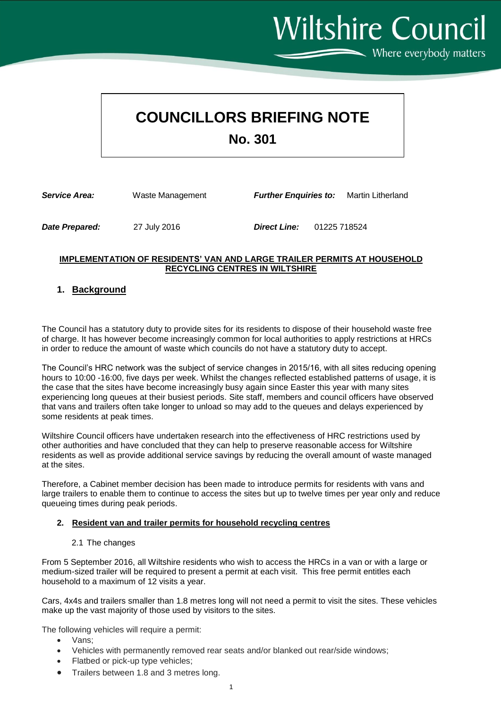# **COUNCILLORS BRIEFING NOTE**

**No. 301**

| <b>Service Area:</b> | Waste Management | <b>Further Enguiries to:</b> |              | Martin Litherland |
|----------------------|------------------|------------------------------|--------------|-------------------|
| Date Prepared:       | 27 July 2016     | <b>Direct Line:</b>          | 01225 718524 |                   |

#### **IMPLEMENTATION OF RESIDENTS' VAN AND LARGE TRAILER PERMITS AT HOUSEHOLD RECYCLING CENTRES IN WILTSHIRE**

### **1. Background**

The Council has a statutory duty to provide sites for its residents to dispose of their household waste free of charge. It has however become increasingly common for local authorities to apply restrictions at HRCs in order to reduce the amount of waste which councils do not have a statutory duty to accept.

The Council's HRC network was the subject of service changes in 2015/16, with all sites reducing opening hours to 10:00 -16:00, five days per week. Whilst the changes reflected established patterns of usage, it is the case that the sites have become increasingly busy again since Easter this year with many sites experiencing long queues at their busiest periods. Site staff, members and council officers have observed that vans and trailers often take longer to unload so may add to the queues and delays experienced by some residents at peak times.

Wiltshire Council officers have undertaken research into the effectiveness of HRC restrictions used by other authorities and have concluded that they can help to preserve reasonable access for Wiltshire residents as well as provide additional service savings by reducing the overall amount of waste managed at the sites.

Therefore, a Cabinet member decision has been made to introduce permits for residents with vans and large trailers to enable them to continue to access the sites but up to twelve times per year only and reduce queueing times during peak periods.

#### **2. Resident van and trailer permits for household recycling centres**

#### 2.1 The changes

From 5 September 2016, all Wiltshire residents who wish to access the HRCs in a van or with a large or medium-sized trailer will be required to present a permit at each visit. This free permit entitles each household to a maximum of 12 visits a year.

Cars, 4x4s and trailers smaller than 1.8 metres long will not need a permit to visit the sites. These vehicles make up the vast majority of those used by visitors to the sites.

The following vehicles will require a permit:

- Vans;
- Vehicles with permanently removed rear seats and/or blanked out rear/side windows;
- Flatbed or pick-up type vehicles;
- Trailers between 1.8 and 3 metres long.